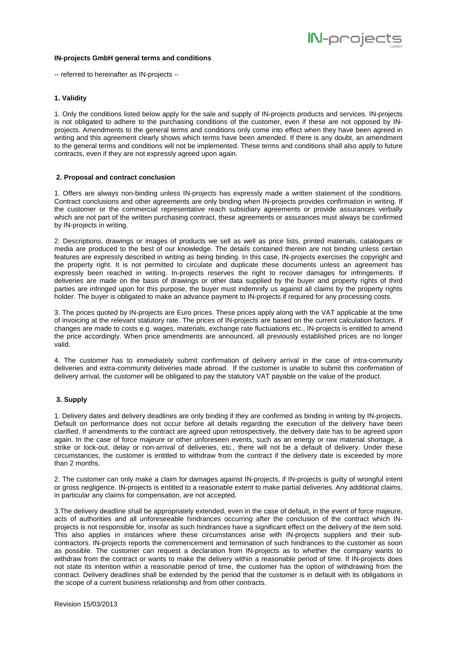

#### **IN-projects GmbH general terms and conditions**

-- referred to hereinafter as IN-projects --

# **1. Validity**

1. Only the conditions listed below apply for the sale and supply of IN-projects products and services. IN-projects is not obligated to adhere to the purchasing conditions of the customer, even if these are not opposed by INprojects. Amendments to the general terms and conditions only come into effect when they have been agreed in writing and this agreement clearly shows which terms have been amended. If there is any doubt, an amendment to the general terms and conditions will not be implemented. These terms and conditions shall also apply to future contracts, even if they are not expressly agreed upon again.

### **2. Proposal and contract conclusion**

1. Offers are always non-binding unless IN-projects has expressly made a written statement of the conditions. Contract conclusions and other agreements are only binding when IN-projects provides confirmation in writing. If the customer or the commercial representative reach subsidiary agreements or provide assurances verbally which are not part of the written purchasing contract, these agreements or assurances must always be confirmed by IN-projects in writing.

2. Descriptions, drawings or images of products we sell as well as price lists, printed materials, catalogues or media are produced to the best of our knowledge. The details contained therein are not binding unless certain features are expressly described in writing as being binding. In this case, IN-projects exercises the copyright and the property right. It is not permitted to circulate and duplicate these documents unless an agreement has expressly been reached in writing. In-projects reserves the right to recover damages for infringements. If deliveries are made on the basis of drawings or other data supplied by the buyer and property rights of third parties are infringed upon for this purpose, the buyer must indemnify us against all claims by the property rights holder. The buyer is obligated to make an advance payment to IN-projects if required for any processing costs.

3. The prices quoted by IN-projects are Euro prices. These prices apply along with the VAT applicable at the time of invoicing at the relevant statutory rate. The prices of IN-projects are based on the current calculation factors. If changes are made to costs e.g. wages, materials, exchange rate fluctuations etc., IN-projects is entitled to amend the price accordingly. When price amendments are announced, all previously established prices are no longer valid.

4. The customer has to immediately submit confirmation of delivery arrival in the case of intra-community deliveries and extra-community deliveries made abroad. If the customer is unable to submit this confirmation of delivery arrival, the customer will be obligated to pay the statutory VAT payable on the value of the product.

#### **3. Supply**

1. Delivery dates and delivery deadlines are only binding if they are confirmed as binding in writing by IN-projects. Default on performance does not occur before all details regarding the execution of the delivery have been clarified. If amendments to the contract are agreed upon retrospectively, the delivery date has to be agreed upon again. In the case of force majeure or other unforeseen events, such as an energy or raw material shortage, a strike or lock-out, delay or non-arrival of deliveries, etc., there will not be a default of delivery. Under these circumstances, the customer is entitled to withdraw from the contract if the delivery date is exceeded by more than 2 months.

2. The customer can only make a claim for damages against IN-projects, if IN-projects is guilty of wrongful intent or gross negligence. IN-projects is entitled to a reasonable extent to make partial deliveries. Any additional claims, in particular any claims for compensation, are not accepted.

3.The delivery deadline shall be appropriately extended, even in the case of default, in the event of force majeure, acts of authorities and all unforeseeable hindrances occurring after the conclusion of the contract which INprojects is not responsible for, insofar as such hindrances have a significant effect on the delivery of the item sold. This also applies in instances where these circumstances arise with IN-projects suppliers and their subcontractors. IN-projects reports the commencement and termination of such hindrances to the customer as soon as possible. The customer can request a declaration from IN-projects as to whether the company wants to withdraw from the contract or wants to make the delivery within a reasonable period of time. If IN-projects does not state its intention within a reasonable period of time, the customer has the option of withdrawing from the contract. Delivery deadlines shall be extended by the period that the customer is in default with its obligations in the scope of a current business relationship and from other contracts.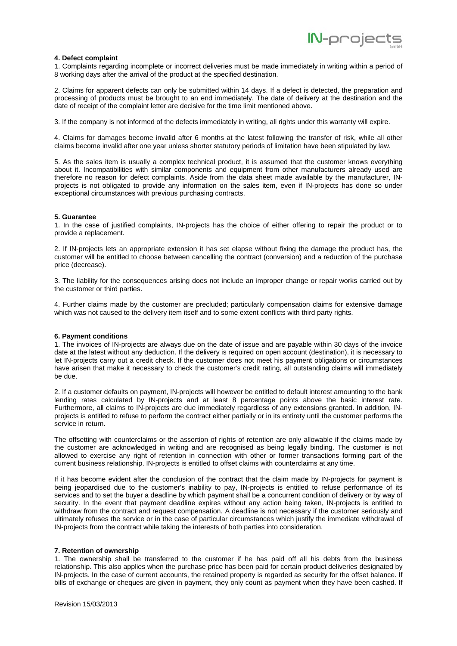

### **4. Defect complaint**

1. Complaints regarding incomplete or incorrect deliveries must be made immediately in writing within a period of 8 working days after the arrival of the product at the specified destination.

2. Claims for apparent defects can only be submitted within 14 days. If a defect is detected, the preparation and processing of products must be brought to an end immediately. The date of delivery at the destination and the date of receipt of the complaint letter are decisive for the time limit mentioned above.

3. If the company is not informed of the defects immediately in writing, all rights under this warranty will expire.

4. Claims for damages become invalid after 6 months at the latest following the transfer of risk, while all other claims become invalid after one year unless shorter statutory periods of limitation have been stipulated by law.

5. As the sales item is usually a complex technical product, it is assumed that the customer knows everything about it. Incompatibilities with similar components and equipment from other manufacturers already used are therefore no reason for defect complaints. Aside from the data sheet made available by the manufacturer, INprojects is not obligated to provide any information on the sales item, even if IN-projects has done so under exceptional circumstances with previous purchasing contracts.

#### **5. Guarantee**

1. In the case of justified complaints, IN-projects has the choice of either offering to repair the product or to provide a replacement.

2. If IN-projects lets an appropriate extension it has set elapse without fixing the damage the product has, the customer will be entitled to choose between cancelling the contract (conversion) and a reduction of the purchase price (decrease).

3. The liability for the consequences arising does not include an improper change or repair works carried out by the customer or third parties.

4. Further claims made by the customer are precluded; particularly compensation claims for extensive damage which was not caused to the delivery item itself and to some extent conflicts with third party rights.

#### **6. Payment conditions**

1. The invoices of IN-projects are always due on the date of issue and are payable within 30 days of the invoice date at the latest without any deduction. If the delivery is required on open account (destination), it is necessary to let IN-projects carry out a credit check. If the customer does not meet his payment obligations or circumstances have arisen that make it necessary to check the customer's credit rating, all outstanding claims will immediately be due.

2. If a customer defaults on payment, IN-projects will however be entitled to default interest amounting to the bank lending rates calculated by IN-projects and at least 8 percentage points above the basic interest rate. Furthermore, all claims to IN-projects are due immediately regardless of any extensions granted. In addition, INprojects is entitled to refuse to perform the contract either partially or in its entirety until the customer performs the service in return.

The offsetting with counterclaims or the assertion of rights of retention are only allowable if the claims made by the customer are acknowledged in writing and are recognised as being legally binding. The customer is not allowed to exercise any right of retention in connection with other or former transactions forming part of the current business relationship. IN-projects is entitled to offset claims with counterclaims at any time.

If it has become evident after the conclusion of the contract that the claim made by IN-projects for payment is being jeopardised due to the customer's inability to pay, IN-projects is entitled to refuse performance of its services and to set the buyer a deadline by which payment shall be a concurrent condition of delivery or by way of security. In the event that payment deadline expires without any action being taken, IN-projects is entitled to withdraw from the contract and request compensation. A deadline is not necessary if the customer seriously and ultimately refuses the service or in the case of particular circumstances which justify the immediate withdrawal of IN-projects from the contract while taking the interests of both parties into consideration.

## **7. Retention of ownership**

1. The ownership shall be transferred to the customer if he has paid off all his debts from the business relationship. This also applies when the purchase price has been paid for certain product deliveries designated by IN-projects. In the case of current accounts, the retained property is regarded as security for the offset balance. If bills of exchange or cheques are given in payment, they only count as payment when they have been cashed. If